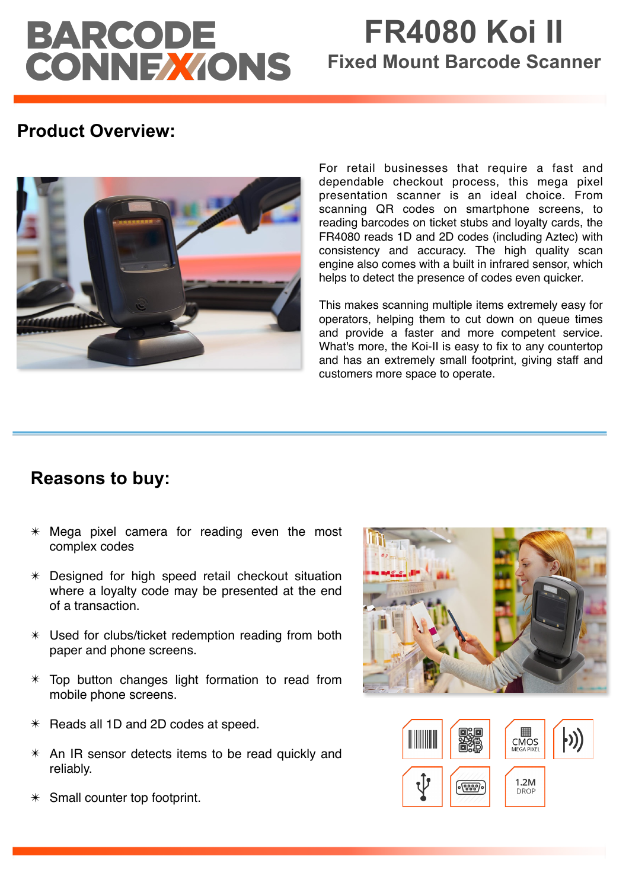# BARCODE<br>CONNEXIONS

# **FR4080 Koi II Fixed Mount Barcode Scanner**

## **Product Overview:**



For retail businesses that require a fast and dependable checkout process, this mega pixel presentation scanner is an ideal choice. From scanning QR codes on smartphone screens, to reading barcodes on ticket stubs and loyalty cards, the FR4080 reads 1D and 2D codes (including Aztec) with consistency and accuracy. The high quality scan engine also comes with a built in infrared sensor, which helps to detect the presence of codes even quicker.

This makes scanning multiple items extremely easy for operators, helping them to cut down on queue times and provide a faster and more competent service. What's more, the Koi-II is easy to fix to any countertop and has an extremely small footprint, giving staff and customers more space to operate.

## **Reasons to buy:**

- $*$  Mega pixel camera for reading even the most complex codes
- ✴ Designed for high speed retail checkout situation where a loyalty code may be presented at the end of a transaction.
- ✴ Used for clubs/ticket redemption reading from both paper and phone screens.
- $*$  Top button changes light formation to read from mobile phone screens.
- ✴ Reads all 1D and 2D codes at speed.
- ✴ An IR sensor detects items to be read quickly and reliably.
- $*$  Small counter top footprint.